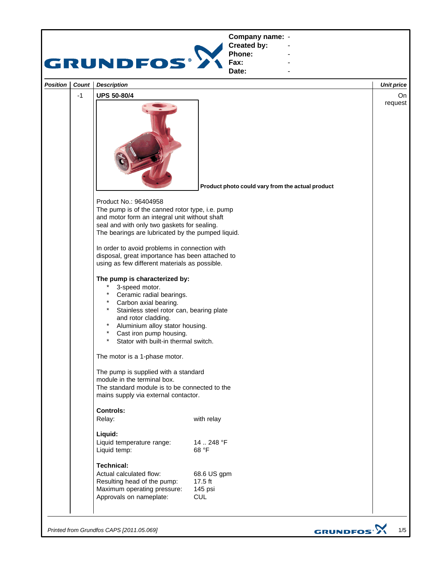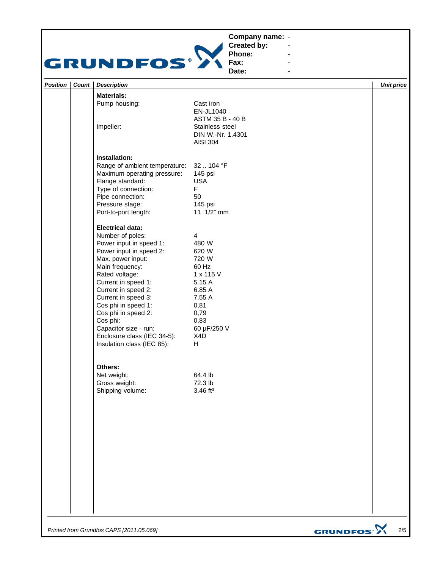## **Company name: -** Construction of the construction

## GRUNDFOS<sup>.</sup>

**Created by: Phone: Fax:**

**Date: -** Andrew March 2014 **-** Construction of the construction

**-** Andrew March 2014 **-** Andrew March 2014

| Position | Count | <b>Description</b>                                                                                                                                                                                                                                                                                                                                    |                                                                                                                                     | <b>Unit price</b> |
|----------|-------|-------------------------------------------------------------------------------------------------------------------------------------------------------------------------------------------------------------------------------------------------------------------------------------------------------------------------------------------------------|-------------------------------------------------------------------------------------------------------------------------------------|-------------------|
|          |       | <b>Materials:</b>                                                                                                                                                                                                                                                                                                                                     |                                                                                                                                     |                   |
|          |       | Pump housing:<br>Impeller:                                                                                                                                                                                                                                                                                                                            | Cast iron<br>EN-JL1040<br>ASTM 35 B - 40 B<br>Stainless steel<br>DIN W.-Nr. 1.4301<br><b>AISI 304</b>                               |                   |
|          |       | Installation:                                                                                                                                                                                                                                                                                                                                         |                                                                                                                                     |                   |
|          |       | Range of ambient temperature:<br>Maximum operating pressure:<br>Flange standard:<br>Type of connection:<br>Pipe connection:<br>Pressure stage:<br>Port-to-port length:                                                                                                                                                                                | 32104 °F<br>145 psi<br><b>USA</b><br>F<br>50<br>145 psi<br>11 1/2" mm                                                               |                   |
|          |       | <b>Electrical data:</b>                                                                                                                                                                                                                                                                                                                               |                                                                                                                                     |                   |
|          |       | Number of poles:<br>Power input in speed 1:<br>Power input in speed 2:<br>Max. power input:<br>Main frequency:<br>Rated voltage:<br>Current in speed 1:<br>Current in speed 2:<br>Current in speed 3:<br>Cos phi in speed 1:<br>Cos phi in speed 2:<br>Cos phi:<br>Capacitor size - run:<br>Enclosure class (IEC 34-5):<br>Insulation class (IEC 85): | 4<br>480 W<br>620 W<br>720 W<br>60 Hz<br>1 x 115 V<br>5.15 A<br>6.85 A<br>7.55 A<br>0,81<br>0,79<br>0,83<br>60 µF/250 V<br>X4D<br>H |                   |
|          |       | Others:<br>Net weight:<br>Gross weight:<br>Shipping volume:                                                                                                                                                                                                                                                                                           | 64.4 lb<br>72.3 lb<br>3.46 ft <sup>3</sup>                                                                                          |                   |
|          |       |                                                                                                                                                                                                                                                                                                                                                       |                                                                                                                                     |                   |
|          |       |                                                                                                                                                                                                                                                                                                                                                       |                                                                                                                                     |                   |

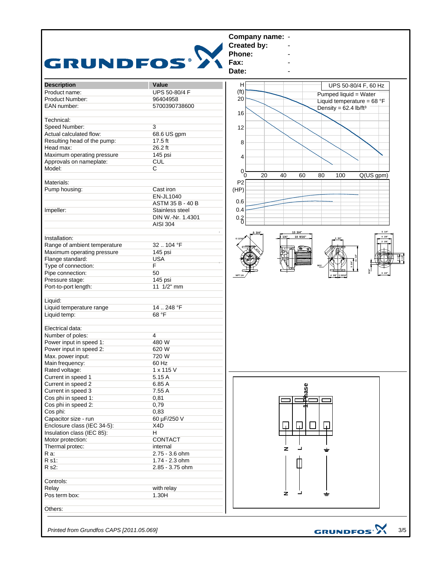

*Printed from Grundfos CAPS [2011.05.069]*

3/5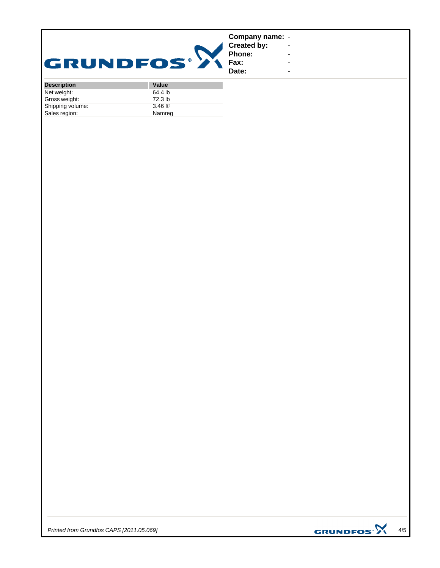|                  | Company name: -              |  |
|------------------|------------------------------|--|
|                  |                              |  |
|                  | <b>Created by:</b><br>Phone: |  |
| <b>GRUNDFOS®</b> | <b>Fax:</b>                  |  |
|                  |                              |  |

**Fax: Date:**

**-** Construction of the construction **-** Andrew March 2014 **-** Andrew March 2014 **-** Andrew March 2014 **-** Construction of the construction

| <b>Description</b> | <b>Value</b>           |
|--------------------|------------------------|
| Net weight:        | 64.4 lb                |
| Gross weight:      | 72.3 lb                |
| Shipping volume:   | $3.46$ ft <sup>3</sup> |
| Sales region:      | Namreg                 |